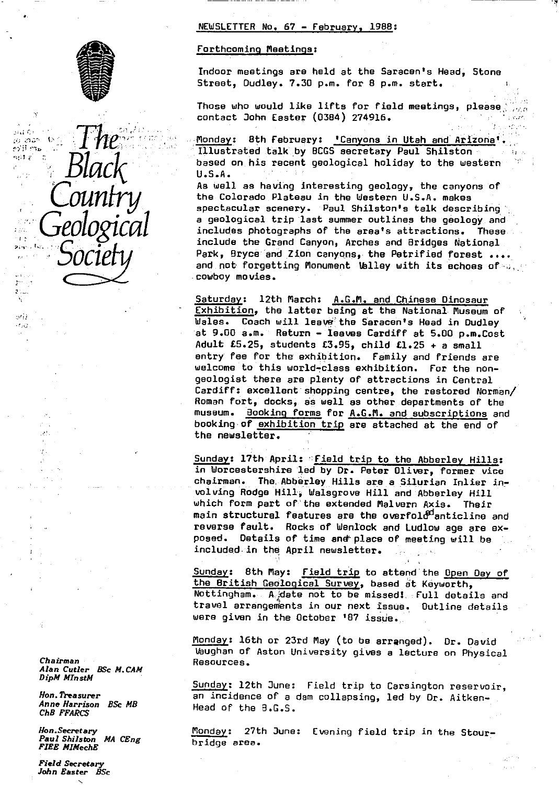



 $^{11}$  F  $^{11}$ 

 $7.111$ V.  $567$  $-7.43$ 

> Chairman Resources. *Alan* Cutler *BSc M. CAM DipM MlnstM*

ChB FFARCS

Paul Shilston MA CEng FIRE MlMechE

Field Secretary John Easter BSc

#### NEWSLETTER No. 67 - February, 1988 :

#### Forthcoming Meetings :

Indoor meetings are held at the Saracen's Head, Stone Street, Dudley. 7.30 p.m. for 8 p.m. start.

Those who would like lifts for field meetings, please.' contact John Easter (0384) 274916.

f onda 8th February: ' Canyons in Utah and Arizona '. **Bj^^k** IJ:lustrated talk. by BOGS secretary Paul Shilston based on his recent geological holiday to the western <sup>i</sup> U.S.A•

As well as having interesting geology, the canyons of<br>the Colorado Plateau in the Western U.S.A. makes  $\textit{OMNtry}\xspace_{\color{blue}\text{al}} \qquad \text{the Colorado Plateau in the Western U.S.A. makes}\n$ a geological trip last summer outlines the geology and includes photographs of the area's attractions. These include the Grand Canyon, Arches and Bridges National<br>Park, Bryce and Zion canyons, the Petrified forest .... **SOCIPTY** Park, Bryce and Zion canyons, the Petrified forest ....<br>and not forgetting Monument Valley with its echoes of cowboy movies.

> Saturday: 12th March: A.G.M. and Chinese Dinosaur Exhibition, the latter being at the National Museum of Wales. Coach will leave the Saracen's Head in Dudley at 9.00 a.m. Return - leaves Cardiff at 5.00 p.m.Cost Adult £5.25, students £3.95, child £1.25 + a small entry fee for the exhibition. Family and friends are welcome to this world-class exhibition. For the nongeologist there are plenty of attractions in Central Cardiff: excellent shopping centre, the restored Norman/ Roman fort, docks, as well as other departments of the museum. Booking forms for A.G.M. and subscriptions and booking-of exhibition trip are attached at the end of the newsletter.

Sunday: 17th April: Field trip to the Abberley Hills: in Worcestershire led by Dr. Peter Oliver, former vice chairman. The,Abberley Hills are a Silurian Inlier involving Rodge Hill-; Walsgrove Hill and Abberley Hill which form part of'the extended Malvern Axis. Their main structural features are the overfold anticline and reverse fault. Rocks of Wenlock and Ludlow age are exposed. Details of time and place of meeting will be included in the April newsletter.

Sunday: 8th May: Field trip to attend the Open Day of the British Geological Survey, based at Keyworth, Nottingham. A.date not to be missed!. Full details and travel arrangements in our next issue. Outline details were given in the October '87 issue.

Monday: 16th or 23rd May (to be arranged). Dr. David Vaughan of Aston University gives a lecture on Physical

Sunday: 12th June: Field trip to Carsington reservoir, Hon. Treasurer **an incidence of a dam collapsing, led by Dr.** Aitken-<br>Anne Harrison *BSc MB* Head of the B.G.S.

Hon.Secretary **Industry Industry** 27th June: Evening field trip in the Stour-<br>Paul Shilston MA CEng bridge area.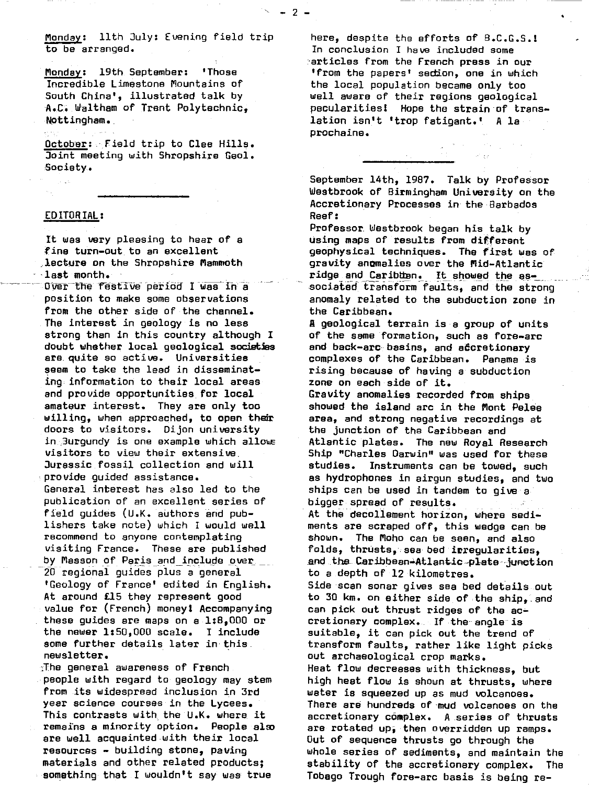Monday: llth July: Evening field trip to be arranged.

 $- 2 -$ 

Monday: 19th September: 'Those Incredible Limestone Mountains of South China', illustrated talk by A.C.. **Waltham of Trent Polytechnic,** Nottingham.

**October : -, Field trip to Clee Hills.** Joint meeting with Shropshire Geol. -Society.

## EDITORIAL :

**It was very** pleasing to hear **of a** fine turn-out to an excellent ,lecture on the Shropshire Mammoth - **, last** month.

Over the festive period I was in a position to make some observations from the other side of the channel. **The interest in geology is no less strong than in this country although I doubt whether local geological societies are** quite so active. **Universities seem** to take the lead in disseminating-information to **their local areas and** provide opportunities for **local amateur** interest. They are **only too willing,** when approached, to open **their** doors to visitors. Dijon university in.,3urgundy is one example which allows visitors to view their extensive. Jurassic fossil collection and will provide guided assistance. General interest has also led to the publication of an excellent series of field guides (U.K. authors and publishers take note) which I would well recommend to anyone contemplating visiting France. These **are published** by Masson of Paris and include over, 2G regional guides plus a general 'Geology of France' edited in English. At around £15 they represent good value for (French) money! Accompanying • these guides are maps on a 1:8,000 or the newer 1:50,000 **scale. I include some further details later in this.** newsletter.

.-T.he general awareness of French people with regard to geology may stem from its widespread inclusion **in 3rd year science** courses in the Lycees. This contrasts with. the U.K. **where, it remains a minority option. People elm are well acquainted with their local resources - building stone, paving materials and** other related products; something that .I wouldn't say was true

here, despite the efforts of B.C.G.S.! In conclusion I have included some -articles from the French press in our 'from the papers' section, one in which the local population became only too well aware of their regions geological pecularitiesl Hope the strain of translation isn't 'trop fatigant.' A la procheine.

September 14th, 1987. Talk by Professor Westbrook of Birmingham University on the Accretionary Processes in the Barbados Reef:

Professor Westbrook began his talk by using maps of results from different **geophysical techniques. The first was of gravity anomalies over the Mid-Atlantic** ridge and Caribton. It showed the essociated transform faults, and the strong anomaly related to the subduction zone in the Caribbean.

**A** geological terrain is a group of units of the same formation, such as fore-arc and back-arc: basins, and **adcretionary** complexes of the Caribbean. Panama is rising because of having a subduction **zone on** each side of it.

Gravity anomalies recorded from ships showed the island arc in the Mont **Pelee area, and** strong negative recordings at the junction of the Caribbean and Atlantic plates. The new Royal Research Ship "Charles Darwin" was used for these studies. Instruments can be towed, such as hydrophones in airgun studies, and two ships can be used in tandem to give a bigger spread of results. At the decollement horizon, where sediments are scraped off, this wedge can be shown. The Moho can be seen, and also folds, thrusts, sea bed irregularities, and the Caribbean-Atlantic plate-junction to a depth of 12 kilometres.

Side scan sonar gives sea bed details out to 30 **km.** on either side of the ship,.and can pick out thrust ridges of the accretionary complex. If the angle is suitable, it can pick out the trend of transform faults, rather like light picks out archaeological crop marks. Heat flow decreases with thickness, but high heat flow is shown at thrusts, where water is squeezed up as mud volcanoes. There are hundreds of mud volcanoes on the accretionary complex. A series of thrusts are rotated up, then overridden up ramps. **Out of sequence thrusts go** through the **whole series of sediments, and maintain the** stability of the accretionary complex. The Tobago Trough fore-arc basis is being re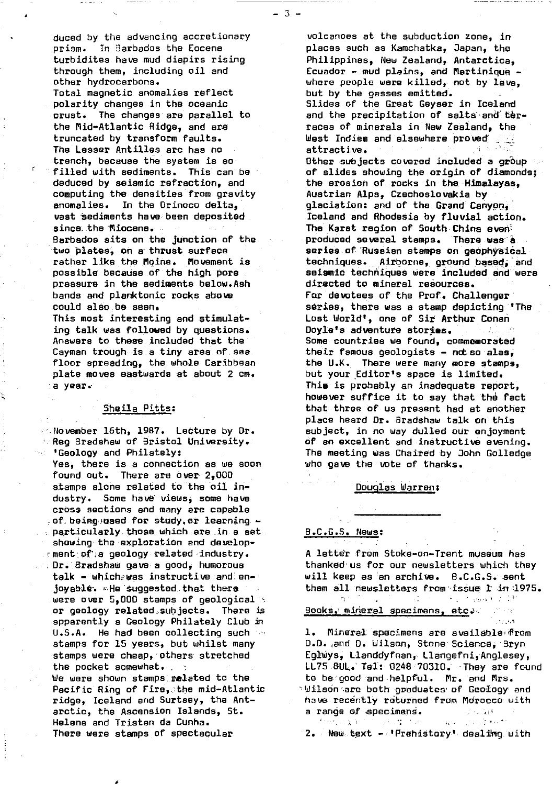duced by the advancing accretionary prism. In Barbados the Eocene turbidites have mud diepirs rising through them, including oil and other hydrocarbons.

Total magnetic anomalies reflect polarity changes in the oceanic crust. The changes are parallel to the Mid-Atlantic Ridge, and are truncated by transform faults. The Lesser Antilles arc has no trench, because the system is so filled with sediments. This can be deduced by seismic refraction, and computing the densities from gravity anomalies. In the Orinoco delta, vast sediments have been deposited since the Miocene.

Barbados sits on the junction of the two plates, on a thrust surface rather like the Maine. Movement is possible because of the high pore pressure in the sediments below.Ash bands and planktonic rocks above could also be seen.

This most interesting and stimulating talk was followed by questions. Answers to these included that the Cayman trough is a tiny area of sea floor spreading, the whole Caribbean plate moves eastwards at about 2 cm. a year.-

#### Sheila Pitts :

:...November 16th, 1987. Lecture by Dr. Reg Bradshaw of Bristol University. 'Geology and Philately:

Yes, there is a connection as we soon found out. There are over 2,000 stamps alone related to the oil industry. Some have views, some have cross sections and many are capable of being used for study, or learning particularly those which are in a set. showing the exploration and develop-- ment:af';a geology related industry. Dr.'.drad-shaw gave a good, humorous talk - whichawas instructive and en-joyable. He 'suggested. that there were over  $5,000$  stamps of geological  $\approx$ or geology related:.subjects. There is apparently a Geology Philately Club in U.S.A. He had been collecting such  $\sim$ stamps for 15 years, but whilstemany stamps were cheap, others stretched the packet somewhat. We were shown stamps:.related to the Pacific Ring of Fire, the mid-Atlantic ridge, Iceland and Surtsey, the Antarctic, the Ascension Islands, St. Helena and Tristan da Cunha. There were stamps of spectacular

k

volcanoes at the subduction zone, in places such as Kamchatka, Japan, the Philippines, New Zealand, Antarctica, Ecuador - mud plains, and Martinique where people were killed, not by lava, but by the gasses emitted.

Slides of the Great Geyser in Iceland and the precipitation of salts and terraces of minerals in New Zealand, the West Indies and elsewhere **proved' ..** attractive.

Other subjects covered included a group of slides showing the origin of diamonds; the erosion of rocks in the Himalayas, Austrian Alps, Czechoslovakia by glaciation: and of the Grand Canyon, Iceland and Rhodesia by fluvial action. The Karst region of South China event produced several stamps. There was a series of Russian stamps on **geophysical** techniques. Airborne, ground based,'end seismic techniques were included and were directed to mineral resources. far devotees of the Prof. Challenger series, there was a stamp depicting 'The Lost World', one of Sir Arthur Conan Dayle's adventure stories. ad Gold Some countries we found, commemorated their famous geologists - not so alas, the U.K. There were many more stamps, but your Editor's space is limited. This is probably an inadequate report, however suffice it to say that the fact that three of us present had at another place heard Dr. Bradshaw talk on this subject, in no way dulled our enjoyment of an excellent and instructive evening. The meeting was Chaired by John Golledge who gave the vote of thanks.

#### Douglas Warren:

#### B.C.G.S. [News](news:) [:](news:)

 $\eta \sim 1$ 

A letter from Stoke-on-Trent museum has thanked us for our newsletters which they will keep as an archive. B.C.G.S. sent them all newsletters from issue  $1$  in  $1975.$ 

 $\Delta\chi_{\rm{eff}}=0$ 

ਾ ਹੈ। ਇਕ ਬਾਰ ਦੇ ਕੋਈ

Books, mineral specimens, etc.

1. Mineral specimens are available from 0.3. and D. Wilson, Stone Science, 3tyn Eglwys, Llanddyfnan,.Llaiigefni,Anglesey, LL75 8UL. Tel: 0248 70310. They are found to be- good -and-helpful. Mr. and Mrs. **Wilson are both graduates of Geology and** have recently returned from 1drocco *with a* range of specimens. \_ ,.  $\mathbf{q}_\mathrm{A}$  and

 $2.4$  New text  $-i$  Prehistory' dealing with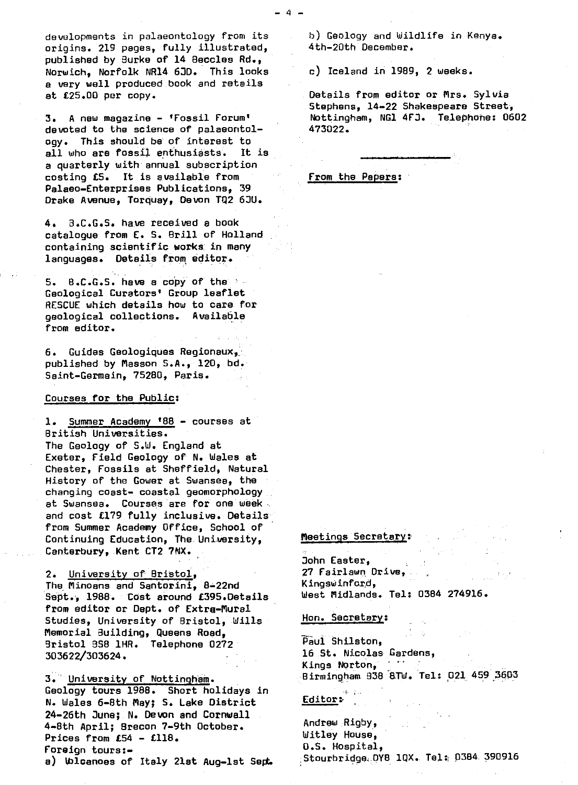developments in palaeontology from its origins. 219 pages, fully illustrated, published by Burke of 14 Beccles Rd., Norwich, Norfolk NR14 6JD. This looks a very well produced book and retails at £25.00 per copy.

3. A new magazine - 'Fossil Forum' devoted to the science of palaeontology. This should be of interest to all who are fossil enthusiasts. It is a quarterly with annual subscription costing £5. It is available from **Palaeo-Enterprises** Publications, <sup>39</sup> Drake Avenue, Torquay, Devon TQ2 6JU.

4. 3.C.G.S. have received a book catalogue from E. S. Brill of Holland containing scientific works: in many languages. Details from editor..

5. B.C.G.S. have a copy of the Geological Curators' Group leaflet RESCUE which details how to care for geological collections. Available from editor.

6. Guides Geologiques Regioneux,\_:. published by Masson S.A., 120, bd. Saint-Germain, 75280, Paris.

### Courses for the Public:

1. Summer Academy '88 - courses at British Universities. The Geology of 5.W. England at Exeter, Field Geology of N. Wales at Chester, Fossils at Sheffield, Natural History of the Gower at Swansea, the changing coast- coastal geomorphology at Swansea. Courses are for one week and cost **£179 fully inclusive. Details** from Summer Academy Office, School of Continuing Education, The. University, Canterbury, Kent CT2 7NX.

2. University of Bristol , The Minoans and Santorini, 8-22nd Sept.-, 1988. Cost **around £395.Details from editor or Dept. of Extra-Mural** Studies, University of Bristol, Wills Memorial Building, Queens Road, Bristol 358 1HR. Telephone 0272' 303622/303624.

3. University of Nottingham . Geology tours 1988. Short holidays in N. Wales 6-8th May; S. Lake District 24-26th June;. N. Devon and Cornwall 4-8th April; Brecon 7-9th October. Prices from £54 - £118. Foreign tours: a) Wlcanoes of Italy 2lst Aug-let Sept b) Geology and Wildlife in Kenya. 4th-20th December.

c) Iceland in 1989, 2 weeks.

Details from editor or Mrs. Sylvia Stephens, 14-22 Shakespeare Street, Nottingham, NG1 4FJ. Telephone: 0602 473022.

From the Papers :

## Meetings Secretary:

John Easter, 27 Fairlawn. Drive,. K ingsw inford, West Midlands. Tel: 0384 274916.

Hon. Secretary:

Paul Shilston, 16 St. Nicolas Gardens,<br>Kinos Norton Kings Norton, Birmingham 938 8TW. Tel: 021 459 3603

## **Editor:**

Andrew Rigby, Witley House, O.S. Hospital, Stourbridge.DY8 1OX. Tel:; 0384.390916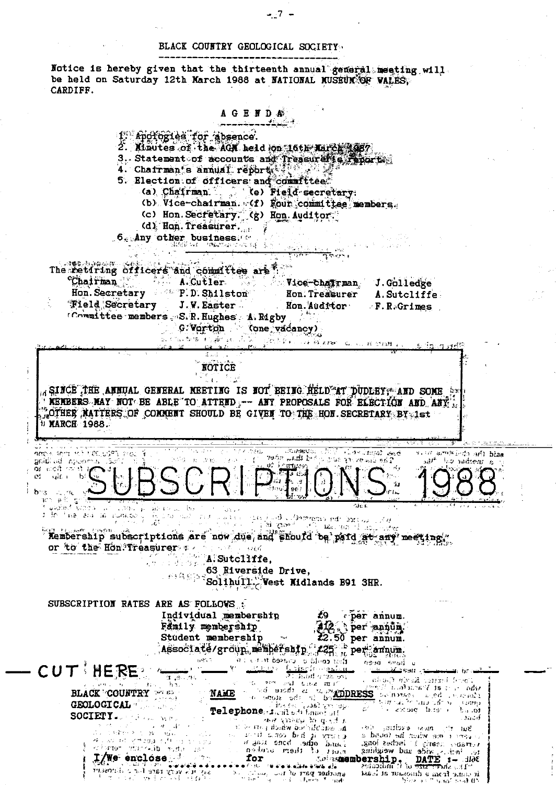